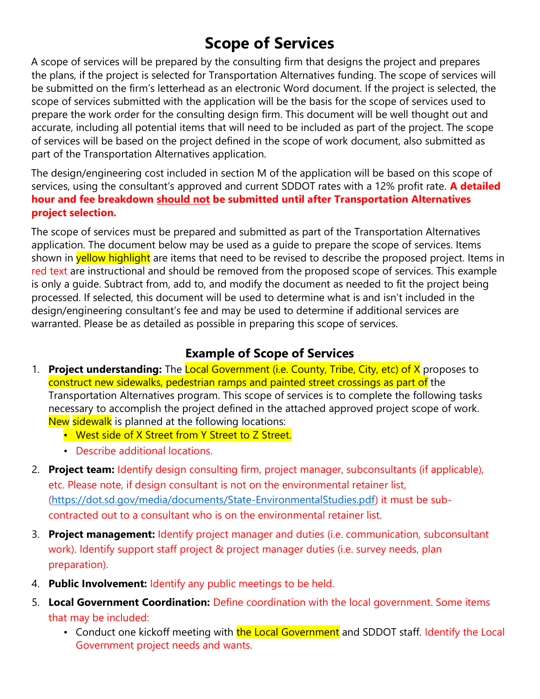# Scope of Services

A scope of services will be prepared by the consulting firm that designs the project and prepares the plans, if the project is selected for Transportation Alternatives funding. The scope of services will be submitted on the firm's letterhead as an electronic Word document. If the project is selected, the scope of services submitted with the application will be the basis for the scope of services used to prepare the work order for the consulting design firm. This document will be well thought out and accurate, including all potential items that will need to be included as part of the project. The scope of services will be based on the project defined in the scope of work document, also submitted as part of the Transportation Alternatives application.

The design/engineering cost included in section M of the application will be based on this scope of services, using the consultant's approved and current SDDOT rates with a 12% profit rate. A detailed hour and fee breakdown should not be submitted until after Transportation Alternatives project selection.

The scope of services must be prepared and submitted as part of the Transportation Alternatives application. The document below may be used as a guide to prepare the scope of services. Items shown in **yellow highlight** are items that need to be revised to describe the proposed project. Items in red text are instructional and should be removed from the proposed scope of services. This example is only a guide. Subtract from, add to, and modify the document as needed to fit the project being processed. If selected, this document will be used to determine what is and isn't included in the design/engineering consultant's fee and may be used to determine if additional services are warranted. Please be as detailed as possible in preparing this scope of services.

## Example of Scope of Services

- 1. Project understanding: The Local Government (i.e. County, Tribe, City, etc) of X proposes to construct new sidewalks, pedestrian ramps and painted street crossings as part of the Transportation Alternatives program. This scope of services is to complete the following tasks necessary to accomplish the project defined in the attached approved project scope of work. New sidewalk is planned at the following locations:
	- West side of X Street from Y Street to Z Street.
	- Describe additional locations.
- 2. Project team: Identify design consulting firm, project manager, subconsultants (if applicable), etc. Please note, if design consultant is not on the environmental retainer list, (https://dot.sd.gov/media/documents/State-EnvironmentalStudies.pdf) it must be subcontracted out to a consultant who is on the environmental retainer list.
- 3. Project management: Identify project manager and duties (i.e. communication, subconsultant work). Identify support staff project & project manager duties (i.e. survey needs, plan preparation).
- 4. Public Involvement: Identify any public meetings to be held.
- 5. Local Government Coordination: Define coordination with the local government. Some items that may be included:
	- Conduct one kickoff meeting with the Local Government and SDDOT staff. Identify the Local Government project needs and wants.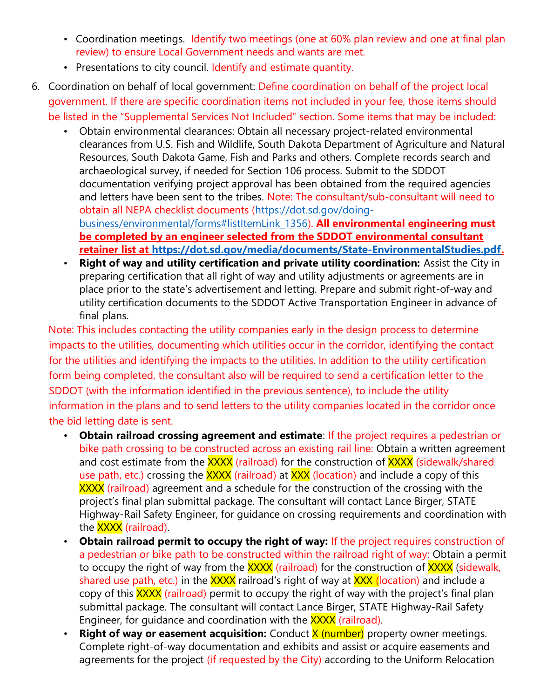- Coordination meetings. Identify two meetings (one at 60% plan review and one at final plan review) to ensure Local Government needs and wants are met.
- Presentations to city council. Identify and estimate quantity.
- 6. Coordination on behalf of local government: Define coordination on behalf of the project local government. If there are specific coordination items not included in your fee, those items should be listed in the "Supplemental Services Not Included" section. Some items that may be included:
	- Obtain environmental clearances: Obtain all necessary project-related environmental clearances from U.S. Fish and Wildlife, South Dakota Department of Agriculture and Natural Resources, South Dakota Game, Fish and Parks and others. Complete records search and archaeological survey, if needed for Section 106 process. Submit to the SDDOT documentation verifying project approval has been obtained from the required agencies and letters have been sent to the tribes. Note: The consultant/sub-consultant will need to obtain all NEPA checklist documents (https://dot.sd.gov/doingbusiness/environmental/forms#listItemLink\_1356). All environmental engineering must be completed by an engineer selected from the SDDOT environmental consultant retainer list at https://dot.sd.gov/media/documents/State-EnvironmentalStudies.pdf.
	- **Right of way and utility certification and private utility coordination:** Assist the City in preparing certification that all right of way and utility adjustments or agreements are in place prior to the state's advertisement and letting. Prepare and submit right-of-way and utility certification documents to the SDDOT Active Transportation Engineer in advance of final plans.

Note: This includes contacting the utility companies early in the design process to determine impacts to the utilities, documenting which utilities occur in the corridor, identifying the contact for the utilities and identifying the impacts to the utilities. In addition to the utility certification form being completed, the consultant also will be required to send a certification letter to the SDDOT (with the information identified in the previous sentence), to include the utility information in the plans and to send letters to the utility companies located in the corridor once the bid letting date is sent.

- Obtain railroad crossing agreement and estimate: If the project requires a pedestrian or bike path crossing to be constructed across an existing rail line: Obtain a written agreement and cost estimate from the XXXX (railroad) for the construction of XXXX (sidewalk/shared use path, etc.) crossing the **XXXX** (railroad) at **XXX** (location) and include a copy of this XXXX (railroad) agreement and a schedule for the construction of the crossing with the project's final plan submittal package. The consultant will contact Lance Birger, STATE Highway-Rail Safety Engineer, for guidance on crossing requirements and coordination with the **XXXX** (railroad).
- Obtain railroad permit to occupy the right of way: If the project requires construction of a pedestrian or bike path to be constructed within the railroad right of way: Obtain a permit to occupy the right of way from the XXXX (railroad) for the construction of XXXX (sidewalk, shared use path, etc.) in the XXXX railroad's right of way at XXX (location) and include a copy of this XXXX (railroad) permit to occupy the right of way with the project's final plan submittal package. The consultant will contact Lance Birger, STATE Highway-Rail Safety Engineer, for guidance and coordination with the **XXXX** (railroad).
- **Right of way or easement acquisition:** Conduct  $\frac{\mathsf{X}}{\mathsf{X}}$  (number) property owner meetings. Complete right-of-way documentation and exhibits and assist or acquire easements and agreements for the project (if requested by the City) according to the Uniform Relocation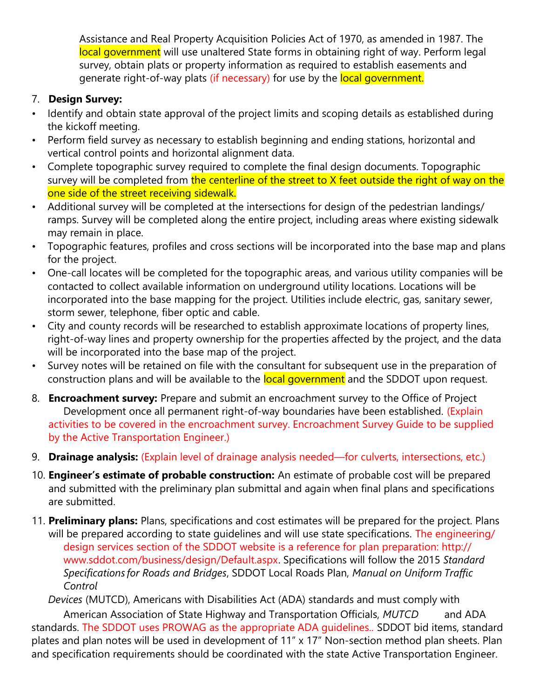Assistance and Real Property Acquisition Policies Act of 1970, as amended in 1987. The local government will use unaltered State forms in obtaining right of way. Perform legal survey, obtain plats or property information as required to establish easements and generate right-of-way plats (if necessary) for use by the local government.

### 7. Design Survey:

- Identify and obtain state approval of the project limits and scoping details as established during the kickoff meeting.
- Perform field survey as necessary to establish beginning and ending stations, horizontal and vertical control points and horizontal alignment data.
- Complete topographic survey required to complete the final design documents. Topographic survey will be completed from the centerline of the street to X feet outside the right of way on the one side of the street receiving sidewalk.
- Additional survey will be completed at the intersections for design of the pedestrian landings/ ramps. Survey will be completed along the entire project, including areas where existing sidewalk may remain in place.
- Topographic features, profiles and cross sections will be incorporated into the base map and plans for the project.
- One-call locates will be completed for the topographic areas, and various utility companies will be contacted to collect available information on underground utility locations. Locations will be incorporated into the base mapping for the project. Utilities include electric, gas, sanitary sewer, storm sewer, telephone, fiber optic and cable.
- City and county records will be researched to establish approximate locations of property lines, right-of-way lines and property ownership for the properties affected by the project, and the data will be incorporated into the base map of the project.
- Survey notes will be retained on file with the consultant for subsequent use in the preparation of construction plans and will be available to the **local government** and the SDDOT upon request.
- 8. **Encroachment survey:** Prepare and submit an encroachment survey to the Office of Project Development once all permanent right-of-way boundaries have been established. (Explain activities to be covered in the encroachment survey. Encroachment Survey Guide to be supplied by the Active Transportation Engineer.)
- 9. **Drainage analysis:** (Explain level of drainage analysis needed—for culverts, intersections, etc.)
- 10. **Engineer's estimate of probable construction:** An estimate of probable cost will be prepared and submitted with the preliminary plan submittal and again when final plans and specifications are submitted.
- 11. Preliminary plans: Plans, specifications and cost estimates will be prepared for the project. Plans will be prepared according to state guidelines and will use state specifications. The engineering/ design services section of the SDDOT website is a reference for plan preparation: http:// www.sddot.com/business/design/Default.aspx. Specifications will follow the 2015 Standard Specifications for Roads and Bridges, SDDOT Local Roads Plan, Manual on Uniform Traffic Control

 Devices (MUTCD), Americans with Disabilities Act (ADA) standards and must comply with American Association of State Highway and Transportation Officials, MUTCD and ADA standards. The SDDOT uses PROWAG as the appropriate ADA guidelines.. SDDOT bid items, standard plates and plan notes will be used in development of 11" x 17" Non-section method plan sheets. Plan and specification requirements should be coordinated with the state Active Transportation Engineer.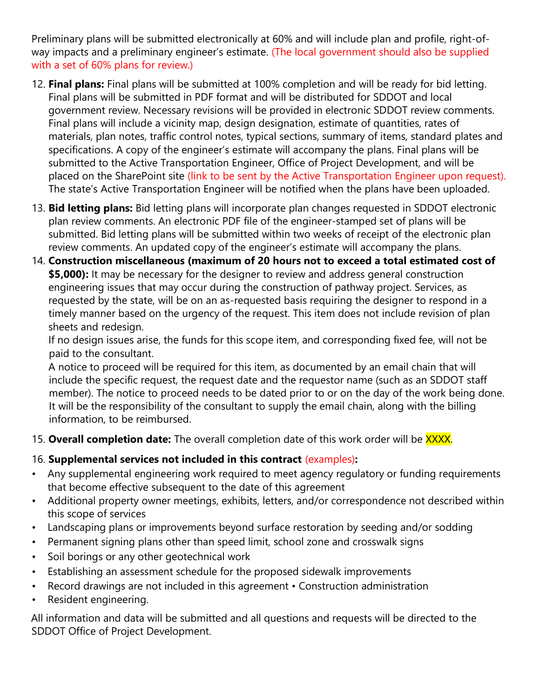Preliminary plans will be submitted electronically at 60% and will include plan and profile, right-ofway impacts and a preliminary engineer's estimate. (The local government should also be supplied with a set of 60% plans for review.)

- 12. Final plans: Final plans will be submitted at 100% completion and will be ready for bid letting. Final plans will be submitted in PDF format and will be distributed for SDDOT and local government review. Necessary revisions will be provided in electronic SDDOT review comments. Final plans will include a vicinity map, design designation, estimate of quantities, rates of materials, plan notes, traffic control notes, typical sections, summary of items, standard plates and specifications. A copy of the engineer's estimate will accompany the plans. Final plans will be submitted to the Active Transportation Engineer, Office of Project Development, and will be placed on the SharePoint site (link to be sent by the Active Transportation Engineer upon request). The state's Active Transportation Engineer will be notified when the plans have been uploaded.
- 13. **Bid letting plans:** Bid letting plans will incorporate plan changes requested in SDDOT electronic plan review comments. An electronic PDF file of the engineer-stamped set of plans will be submitted. Bid letting plans will be submitted within two weeks of receipt of the electronic plan review comments. An updated copy of the engineer's estimate will accompany the plans.
- 14. Construction miscellaneous (maximum of 20 hours not to exceed a total estimated cost of \$5,000): It may be necessary for the designer to review and address general construction engineering issues that may occur during the construction of pathway project. Services, as requested by the state, will be on an as-requested basis requiring the designer to respond in a timely manner based on the urgency of the request. This item does not include revision of plan sheets and redesign.

If no design issues arise, the funds for this scope item, and corresponding fixed fee, will not be paid to the consultant.

A notice to proceed will be required for this item, as documented by an email chain that will include the specific request, the request date and the requestor name (such as an SDDOT staff member). The notice to proceed needs to be dated prior to or on the day of the work being done. It will be the responsibility of the consultant to supply the email chain, along with the billing information, to be reimbursed.

15. Overall completion date: The overall completion date of this work order will be XXXX.

#### 16. Supplemental services not included in this contract (examples):

- Any supplemental engineering work required to meet agency regulatory or funding requirements that become effective subsequent to the date of this agreement
- Additional property owner meetings, exhibits, letters, and/or correspondence not described within this scope of services
- Landscaping plans or improvements beyond surface restoration by seeding and/or sodding
- Permanent signing plans other than speed limit, school zone and crosswalk signs
- Soil borings or any other geotechnical work
- Establishing an assessment schedule for the proposed sidewalk improvements
- Record drawings are not included in this agreement Construction administration
- Resident engineering.

All information and data will be submitted and all questions and requests will be directed to the SDDOT Office of Project Development.